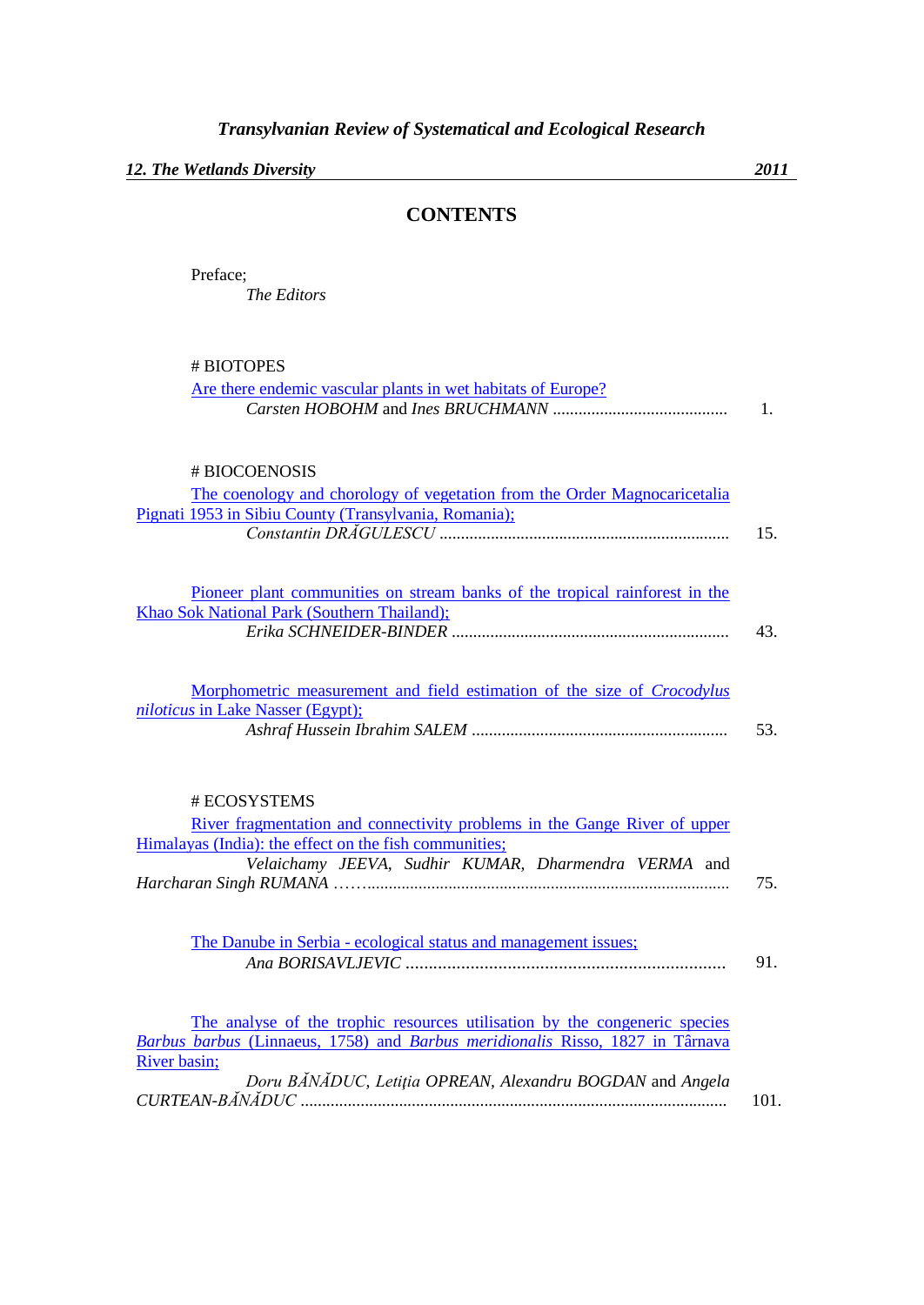*12. The Wetlands Diversity 2011*

## **CONTENTS**

Preface; *The Editors*

| # BIOTOPES |  |
|------------|--|
|------------|--|

| Are there endemic vascular plants in wet habitats of Europe?                   | 1.   |
|--------------------------------------------------------------------------------|------|
| # BIOCOENOSIS                                                                  |      |
| The coenology and chorology of vegetation from the Order Magnocaricetalia      |      |
| Pignati 1953 in Sibiu County (Transylvania, Romania);                          |      |
|                                                                                | 15.  |
| Pioneer plant communities on stream banks of the tropical rainforest in the    |      |
| Khao Sok National Park (Southern Thailand);                                    |      |
|                                                                                | 43.  |
| Morphometric measurement and field estimation of the size of <i>Crocodylus</i> |      |
| <i>niloticus</i> in Lake Nasser (Egypt);                                       | 53.  |
|                                                                                |      |
| # ECOSYSTEMS                                                                   |      |
| River fragmentation and connectivity problems in the Gange River of upper      |      |
| Himalayas (India): the effect on the fish communities;                         |      |
| Velaichamy JEEVA, Sudhir KUMAR, Dharmendra VERMA and                           |      |
|                                                                                | 75.  |
| The Danube in Serbia - ecological status and management issues;                |      |
|                                                                                | 91.  |
| The analyse of the trophic resources utilisation by the congeneric species     |      |
| Barbus barbus (Linnaeus, 1758) and Barbus meridionalis Risso, 1827 in Târnava  |      |
| River basin;                                                                   |      |
| Doru BĂNĂDUC, Letiția OPREAN, Alexandru BOGDAN and Angela                      |      |
|                                                                                | 101. |